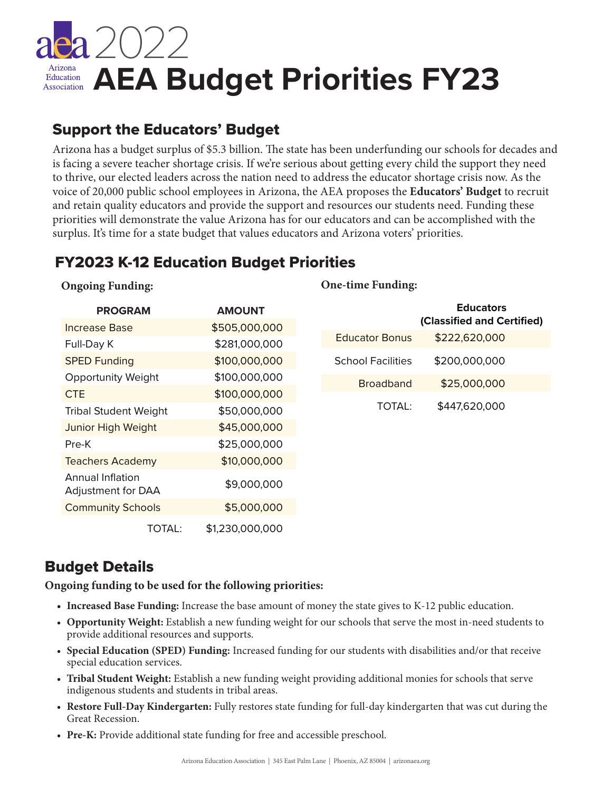

# Support the Educators' Budget

Arizona has a budget surplus of \$5.3 billion. The state has been underfunding our schools for decades and is facing a severe teacher shortage crisis. If we're serious about getting every child the support they need to thrive, our elected leaders across the nation need to address the educator shortage crisis now. As the voice of 20,000 public school employees in Arizona, the AEA proposes the **Educators' Budget** to recruit and retain quality educators and provide the support and resources our students need. Funding these priorities will demonstrate the value Arizona has for our educators and can be accomplished with the surplus. It's time for a state budget that values educators and Arizona voters' priorities.

## FY2023 K-12 Education Budget Priorities

### **Ongoing Funding:**

| <b>PROGRAM</b>                                | <b>AMOUNT</b>   |
|-----------------------------------------------|-----------------|
| Increase Base                                 | \$505,000,000   |
| Full-Day K                                    | \$281,000,000   |
| <b>SPED Funding</b>                           | \$100,000,000   |
| <b>Opportunity Weight</b>                     | \$100,000,000   |
| <b>CTE</b>                                    | \$100,000,000   |
| <b>Tribal Student Weight</b>                  | \$50,000,000    |
| <b>Junior High Weight</b>                     | \$45,000,000    |
| Pre-K                                         | \$25,000,000    |
| <b>Teachers Academy</b>                       | \$10,000,000    |
| Annual Inflation<br><b>Adjustment for DAA</b> | \$9,000,000     |
| <b>Community Schools</b>                      | \$5,000,000     |
| TOTAL:                                        | \$1,230,000,000 |

### **One-time Funding:**

|                          | <b>Educators</b><br>(Classified and Certified) |
|--------------------------|------------------------------------------------|
| <b>Educator Bonus</b>    | \$222,620,000                                  |
| <b>School Facilities</b> | \$200,000,000                                  |
| <b>Broadband</b>         | \$25,000,000                                   |
| <b>TOTAL</b>             | \$447,620,000                                  |

### Budget Details

**Ongoing funding to be used for the following priorities:**

- **• Increased Base Funding:** Increase the base amount of money the state gives to K-12 public education.
- **Opportunity Weight:** Establish a new funding weight for our schools that serve the most in-need students to provide additional resources and supports.
- **Special Education (SPED) Funding:** Increased funding for our students with disabilities and/or that receive special education services.
- **Tribal Student Weight:** Establish a new funding weight providing additional monies for schools that serve indigenous students and students in tribal areas.
- **Restore Full-Day Kindergarten:** Fully restores state funding for full-day kindergarten that was cut during the Great Recession.
- **Pre-K:** Provide additional state funding for free and accessible preschool.